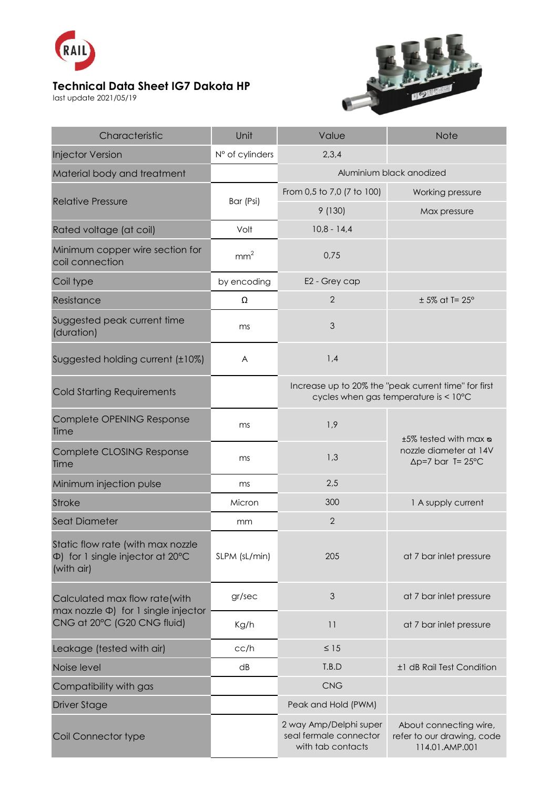

## **Technical Data Sheet IG7 Dakota HP**

last update 2021/05/19



| Characteristic                                                                                              | Unit            | Value                                                                                         | <b>Note</b>                                                                          |
|-------------------------------------------------------------------------------------------------------------|-----------------|-----------------------------------------------------------------------------------------------|--------------------------------------------------------------------------------------|
| <b>Injector Version</b>                                                                                     | N° of cylinders | 2,3,4                                                                                         |                                                                                      |
| Material body and treatment                                                                                 |                 | Aluminium black anodized                                                                      |                                                                                      |
| <b>Relative Pressure</b>                                                                                    | Bar (Psi)       | From 0,5 to 7,0 (7 to 100)                                                                    | Working pressure                                                                     |
|                                                                                                             |                 | 9(130)                                                                                        | Max pressure                                                                         |
| Rated voltage (at coil)                                                                                     | Volt            | $10,8 - 14,4$                                                                                 |                                                                                      |
| Minimum copper wire section for<br>coil connection                                                          | mm <sup>2</sup> | 0,75                                                                                          |                                                                                      |
| Coil type                                                                                                   | by encoding     | E2 - Grey cap                                                                                 |                                                                                      |
| Resistance                                                                                                  | Ω               | $\overline{2}$                                                                                | $± 5\%$ at T= 25°                                                                    |
| Suggested peak current time<br>(duration)                                                                   | ms              | 3                                                                                             |                                                                                      |
| Suggested holding current (±10%)                                                                            | A               | 1,4                                                                                           |                                                                                      |
| <b>Cold Starting Requirements</b>                                                                           |                 | Increase up to 20% the "peak current time" for first<br>cycles when gas temperature is < 10°C |                                                                                      |
| Complete OPENING Response<br>Time                                                                           | ms              | 1,9                                                                                           | ±5% tested with max <b>o</b><br>nozzle diameter at 14V<br>$\Delta p = 7$ bar T= 25°C |
| Complete CLOSING Response<br>Time                                                                           | ms              | 1,3                                                                                           |                                                                                      |
| Minimum injection pulse                                                                                     | ms              | 2,5                                                                                           |                                                                                      |
| <b>Stroke</b>                                                                                               | Micron          | 300                                                                                           | 1 A supply current                                                                   |
| <b>Seat Diameter</b>                                                                                        | mm              | $\mathbf{2}$                                                                                  |                                                                                      |
| Static flow rate (with max nozzle<br>$\Phi$ ) for 1 single injector at 20 $\degree$ C<br>(with air)         | SLPM (sL/min)   | 205                                                                                           | at 7 bar inlet pressure                                                              |
| Calculated max flow rate(with<br>$max$ nozzle $\Phi$ ) for 1 single injector<br>CNG at 20°C (G20 CNG fluid) | gr/sec          | 3                                                                                             | at 7 bar inlet pressure                                                              |
|                                                                                                             | Kg/h            | 11                                                                                            | at 7 bar inlet pressure                                                              |
| Leakage (tested with air)                                                                                   | cc/h            | $\leq 15$                                                                                     |                                                                                      |
| Noise level                                                                                                 | dB              | T.B.D                                                                                         | ±1 dB Rail Test Condition                                                            |
| Compatibility with gas                                                                                      |                 | <b>CNG</b>                                                                                    |                                                                                      |
| <b>Driver Stage</b>                                                                                         |                 | Peak and Hold (PWM)                                                                           |                                                                                      |
| Coil Connector type                                                                                         |                 | 2 way Amp/Delphi super<br>seal fermale connector<br>with tab contacts                         | About connecting wire,<br>refer to our drawing, code<br>114.01.AMP.001               |